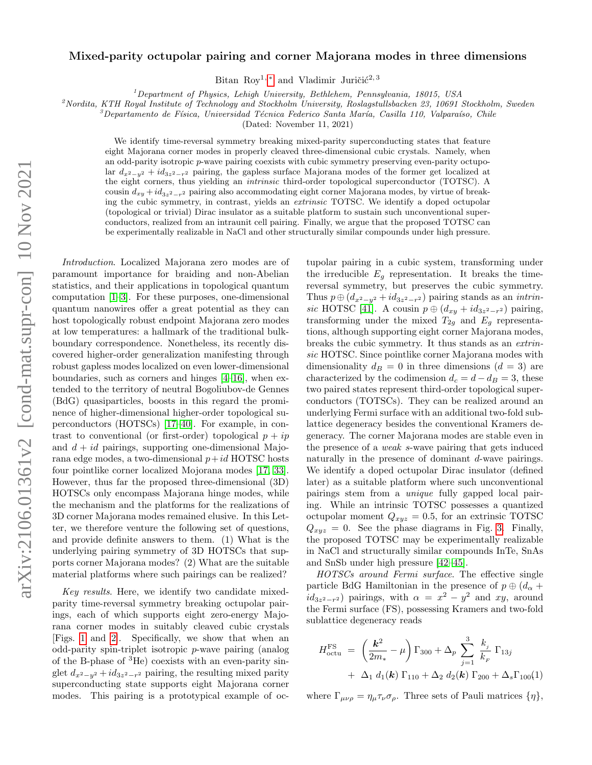## Mixed-parity octupolar pairing and corner Majorana modes in three dimensions

Bitan Roy<sup>1, [∗](#page-4-0)</sup> and Vladimir Juričić<sup>2, 3</sup>

 $1$ Department of Physics, Lehigh University, Bethlehem, Pennsylvania, 18015, USA

 $2^2$ Nordita, KTH Royal Institute of Technology and Stockholm University, Roslagstullsbacken 23, 10691 Stockholm, Sweden

 $\beta^3$ Departamento de Física, Universidad Técnica Federico Santa María, Casilla 110, Valparaíso, Chile

(Dated: November 11, 2021)

We identify time-reversal symmetry breaking mixed-parity superconducting states that feature eight Majorana corner modes in properly cleaved three-dimensional cubic crystals. Namely, when an odd-parity isotropic p-wave pairing coexists with cubic symmetry preserving even-parity octupolar  $d_{x^2-y^2} + id_{3z^2-r^2}$  pairing, the gapless surface Majorana modes of the former get localized at the eight corners, thus yielding an intrinsic third-order topological superconductor (TOTSC). A cousin  $d_{xy} + id_{3z^2-r^2}$  pairing also accommodating eight corner Majorana modes, by virtue of breaking the cubic symmetry, in contrast, yields an extrinsic TOTSC. We identify a doped octupolar (topological or trivial) Dirac insulator as a suitable platform to sustain such unconventional superconductors, realized from an intraunit cell pairing. Finally, we argue that the proposed TOTSC can be experimentally realizable in NaCl and other structurally similar compounds under high pressure.

Introduction. Localized Majorana zero modes are of paramount importance for braiding and non-Abelian statistics, and their applications in topological quantum computation [\[1](#page-4-1)[–3\]](#page-4-2). For these purposes, one-dimensional quantum nanowires offer a great potential as they can host topologically robust endpoint Majorana zero modes at low temperatures: a hallmark of the traditional bulkboundary correspondence. Nonetheless, its recently discovered higher-order generalization manifesting through robust gapless modes localized on even lower-dimensional boundaries, such as corners and hinges [\[4–](#page-4-3)[16\]](#page-4-4), when extended to the territory of neutral Bogoliubov-de Gennes (BdG) quasiparticles, boosts in this regard the prominence of higher-dimensional higher-order topological superconductors (HOTSCs) [\[17](#page-4-5)[–40\]](#page-4-6). For example, in contrast to conventional (or first-order) topological  $p + ip$ and  $d + id$  pairings, supporting one-dimensional Majorana edge modes, a two-dimensional  $p+id$  HOTSC hosts four pointlike corner localized Mojorana modes [\[17,](#page-4-5) [33\]](#page-4-7). However, thus far the proposed three-dimensional (3D) HOTSCs only encompass Majorana hinge modes, while the mechanism and the platforms for the realizations of 3D corner Majorana modes remained elusive. In this Letter, we therefore venture the following set of questions, and provide definite answers to them. (1) What is the underlying pairing symmetry of 3D HOTSCs that supports corner Majorana modes? (2) What are the suitable material platforms where such pairings can be realized?

Key results. Here, we identify two candidate mixedparity time-reversal symmetry breaking octupolar pairings, each of which supports eight zero-energy Majorana corner modes in suitably cleaved cubic crystals [Figs. [1](#page-1-0) and [2\]](#page-2-0). Specifically, we show that when an odd-parity spin-triplet isotropic p-wave pairing (analog of the B-phase of <sup>3</sup>He) coexists with an even-parity singlet  $d_{x^2-y^2} + id_{3z^2-r^2}$  pairing, the resulting mixed parity superconducting state supports eight Majorana corner modes. This pairing is a prototypical example of oc-

tupolar pairing in a cubic system, transforming under the irreducible  $E<sub>g</sub>$  representation. It breaks the timereversal symmetry, but preserves the cubic symmetry. Thus  $p \oplus (d_{x^2-y^2} + id_{3z^2-r^2})$  pairing stands as an *intrin*-sic HOTSC [\[41\]](#page-4-8). A cousin  $p \oplus (d_{xy} + id_{3z^2-r^2})$  pairing, transforming under the mixed  $T_{2q}$  and  $E_q$  representations, although supporting eight corner Majorana modes, breaks the cubic symmetry. It thus stands as an extrinsic HOTSC. Since pointlike corner Majorana modes with dimensionality  $d_B = 0$  in three dimensions  $(d = 3)$  are characterized by the codimension  $d_c = d - d_B = 3$ , these two paired states represent third-order topological superconductors (TOTSCs). They can be realized around an underlying Fermi surface with an additional two-fold sublattice degeneracy besides the conventional Kramers degeneracy. The corner Majorana modes are stable even in the presence of a weak s-wave pairing that gets induced naturally in the presence of dominant d-wave pairings. We identify a doped octupolar Dirac insulator (defined later) as a suitable platform where such unconventional pairings stem from a unique fully gapped local pairing. While an intrinsic TOTSC possesses a quantized octupolar moment  $Q_{xyz} = 0.5$ , for an extrinsic TOTSC  $Q_{xyz} = 0$ . See the phase diagrams in Fig. [3.](#page-3-0) Finally, the proposed TOTSC may be experimentally realizable in NaCl and structurally similar compounds InTe, SnAs and SnSb under high pressure [\[42–](#page-4-9)[45\]](#page-4-10).

HOTSCs around Fermi surface. The effective single particle BdG Hamiltonian in the presence of  $p \oplus (d_{\alpha} +$  $id_{3z^2-r^2}$ ) pairings, with  $\alpha = x^2 - y^2$  and xy, around the Fermi surface (FS), possessing Kramers and two-fold sublattice degeneracy reads

<span id="page-0-0"></span>
$$
H_{\text{octu}}^{\text{FS}} = \left(\frac{\mathbf{k}^2}{2m_*} - \mu\right) \Gamma_{300} + \Delta_p \sum_{j=1}^3 \frac{k_j}{k_F} \Gamma_{13j} + \Delta_1 d_1(\mathbf{k}) \Gamma_{110} + \Delta_2 d_2(\mathbf{k}) \Gamma_{200} + \Delta_s \Gamma_{100}(1)
$$

where  $\Gamma_{\mu\nu\rho} = \eta_{\mu}\tau_{\nu}\sigma_{\rho}$ . Three sets of Pauli matrices  $\{\eta\},\$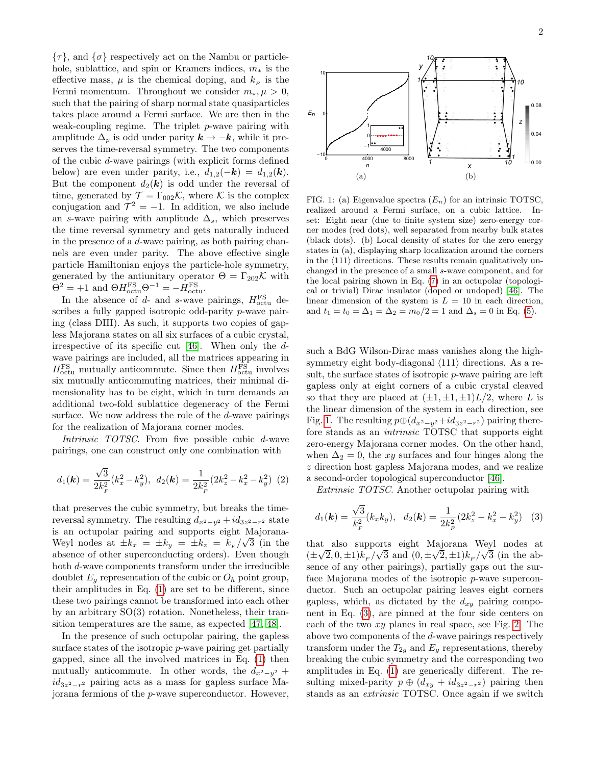$\{\tau\}$ , and  $\{\sigma\}$  respectively act on the Nambu or particlehole, sublattice, and spin or Kramers indices,  $m_*$  is the effective mass,  $\mu$  is the chemical doping, and  $k_F$  is the Fermi momentum. Throughout we consider  $m_*, \mu > 0$ , such that the pairing of sharp normal state quasiparticles takes place around a Fermi surface. We are then in the weak-coupling regime. The triplet  $p$ -wave pairing with amplitude  $\Delta_p$  is odd under parity  $k \to -k$ , while it preserves the time-reversal symmetry. The two components of the cubic d-wave pairings (with explicit forms defined below) are even under parity, i.e.,  $d_{1,2}(-\mathbf{k}) = d_{1,2}(\mathbf{k})$ . But the component  $d_2(\mathbf{k})$  is odd under the reversal of time, generated by  $\mathcal{T} = \Gamma_{002} \mathcal{K}$ , where K is the complex conjugation and  $\mathcal{T}^2 = -1$ . In addition, we also include an s-wave pairing with amplitude  $\Delta_s$ , which preserves the time reversal symmetry and gets naturally induced in the presence of a d-wave pairing, as both pairing channels are even under parity. The above effective single particle Hamiltonian enjoys the particle-hole symmetry, generated by the antiunitary operator  $\Theta = \Gamma_{202} \mathcal{K}$  with  $\Theta^2 = +1$  and  $\Theta H_{\text{octu}}^{\text{FS}} \Theta^{-1} = -H_{\text{octu}}^{\text{FS}}$ .

In the absence of  $d$ - and s-wave pairings,  $H_{\text{octu}}^{\text{FS}}$  describes a fully gapped isotropic odd-parity p-wave pairing (class DIII). As such, it supports two copies of gapless Majorana states on all six surfaces of a cubic crystal, irrespective of its specific cut [\[46\]](#page-4-11). When only the dwave pairings are included, all the matrices appearing in  $H_{\text{octu}}^{\text{FS}}$  mutually anticommute. Since then  $H_{\text{octu}}^{\text{FS}}$  involves six mutually anticommuting matrices, their minimal dimensionality has to be eight, which in turn demands an additional two-fold sublattice degeneracy of the Fermi surface. We now address the role of the d-wave pairings for the realization of Majorana corner modes.

Intrinsic TOTSC. From five possible cubic d-wave pairings, one can construct only one combination with

$$
d_1(\mathbf{k}) = \frac{\sqrt{3}}{2k_F^2}(k_x^2 - k_y^2), \ \ d_2(\mathbf{k}) = \frac{1}{2k_F^2}(2k_z^2 - k_x^2 - k_y^2) \ \ (2)
$$

that preserves the cubic symmetry, but breaks the timereversal symmetry. The resulting  $d_{x^2-y^2} + id_{3z^2-r^2}$  state is an octupolar pairing and supports eight Majorana-Weyl nodes at  $\pm k_x = \pm k_y = \pm k_z = k_F/\sqrt{3}$  (in the absence of other superconducting orders). Even though both d-wave components transform under the irreducible doublet  $E_q$  representation of the cubic or  $O_h$  point group, their amplitudes in Eq. [\(1\)](#page-0-0) are set to be different, since these two pairings cannot be transformed into each other by an arbitrary SO(3) rotation. Nonetheless, their transition temperatures are the same, as expected [\[47,](#page-4-12) [48\]](#page-5-0).

In the presence of such octupolar pairing, the gapless surface states of the isotropic p-wave pairing get partially gapped, since all the involved matrices in Eq. [\(1\)](#page-0-0) then mutually anticommute. In other words, the  $d_{x^2-y^2}$  +  $id_{3z^2-r^2}$  pairing acts as a mass for gapless surface Majorana fermions of the p-wave superconductor. However,



<span id="page-1-0"></span>FIG. 1: (a) Eigenvalue spectra  $(E_n)$  for an intrinsic TOTSC, realized around a Fermi surface, on a cubic lattice. Inset: Eight near (due to finite system size) zero-energy corner modes (red dots), well separated from nearby bulk states (black dots). (b) Local density of states for the zero energy states in (a), displaying sharp localization around the corners in the  $\langle 111 \rangle$  directions. These results remain qualitatively unchanged in the presence of a small s-wave component, and for the local pairing shown in Eq. [\(7\)](#page-3-1) in an octupolar (topological or trivial) Dirac insulator (doped or undoped) [\[46\]](#page-4-11). The linear dimension of the system is  $L = 10$  in each direction, and  $t_1 = t_0 = \Delta_1 = \Delta_2 = m_0/2 = 1$  and  $\Delta_s = 0$  in Eq. [\(5\)](#page-2-1).

such a BdG Wilson-Dirac mass vanishes along the highsymmetry eight body-diagonal  $\langle 111 \rangle$  directions. As a result, the surface states of isotropic p-wave pairing are left gapless only at eight corners of a cubic crystal cleaved so that they are placed at  $(\pm 1, \pm 1, \pm 1)L/2$ , where L is the linear dimension of the system in each direction, see Fig. [1.](#page-1-0) The resulting  $p \oplus (d_{x^2-y^2}+id_{3z^2-r^2})$  pairing therefore stands as an intrinsic TOTSC that supports eight zero-energy Majorana corner modes. On the other hand, when  $\Delta_2 = 0$ , the xy surfaces and four hinges along the z direction host gapless Majorana modes, and we realize a second-order topological superconductor [\[46\]](#page-4-11).

Extrinsic TOTSC. Another octupolar pairing with

<span id="page-1-1"></span>
$$
d_1(\mathbf{k}) = \frac{\sqrt{3}}{k_F^2} (k_x k_y), \quad d_2(\mathbf{k}) = \frac{1}{2k_F^2} (2k_z^2 - k_x^2 - k_y^2) \quad (3)
$$

that also supports eight Majorana Weyl nodes at √ √ √ √  $(\pm \sqrt{2}, 0, \pm 1)k_F/\sqrt{3}$  and  $(0, \pm \sqrt{2}, \pm 1)k_F/\sqrt{3}$  (in the absence of any other pairings), partially gaps out the surface Majorana modes of the isotropic  $p$ -wave superconductor. Such an octupolar pairing leaves eight corners gapless, which, as dictated by the  $d_{xy}$  pairing component in Eq. [\(3\)](#page-1-1), are pinned at the four side centers on each of the two xy planes in real space, see Fig. [2.](#page-2-0) The above two components of the d-wave pairings respectively transform under the  $T_{2g}$  and  $E_g$  representations, thereby breaking the cubic symmetry and the corresponding two amplitudes in Eq. [\(1\)](#page-0-0) are generically different. The resulting mixed-parity  $p \oplus (d_{xy} + id_{3z^2-r^2})$  pairing then stands as an extrinsic TOTSC. Once again if we switch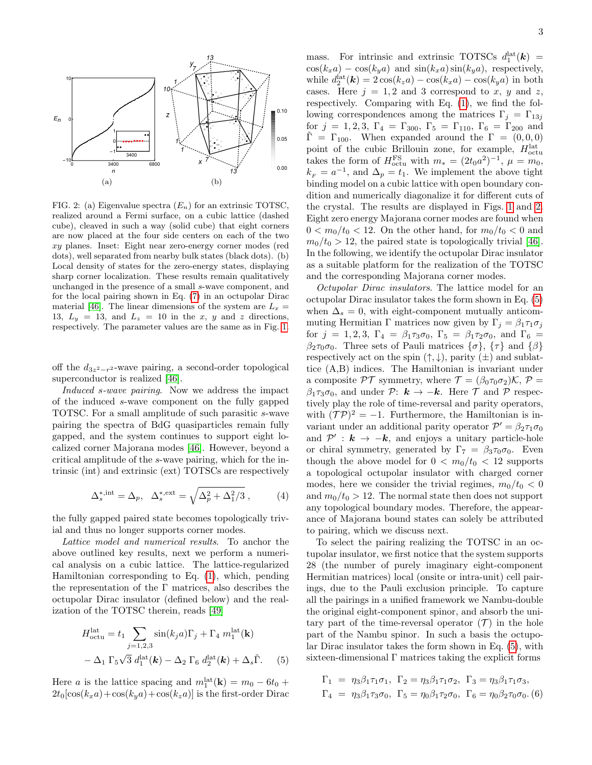

<span id="page-2-0"></span>FIG. 2: (a) Eigenvalue spectra  $(E_n)$  for an extrinsic TOTSC, realized around a Fermi surface, on a cubic lattice (dashed cube), cleaved in such a way (solid cube) that eight corners are now placed at the four side centers on each of the two  $xy$  planes. Inset: Eight near zero-energy corner modes (red dots), well separated from nearby bulk states (black dots). (b) Local density of states for the zero-energy states, displaying sharp corner localization. These results remain qualitatively unchanged in the presence of a small s-wave component, and for the local pairing shown in Eq. [\(7\)](#page-3-1) in an octupolar Dirac material [\[46\]](#page-4-11). The linear dimensions of the system are  $L_x =$ 13,  $L_y = 13$ , and  $L_z = 10$  in the x, y and z directions, respectively. The parameter values are the same as in Fig. [1.](#page-1-0)

off the  $d_{3z^2-r^2}$ -wave pairing, a second-order topological superconductor is realized [\[46\]](#page-4-11).

Induced s-wave pairing. Now we address the impact of the induced s-wave component on the fully gapped TOTSC. For a small amplitude of such parasitic s-wave pairing the spectra of BdG quasiparticles remain fully gapped, and the system continues to support eight localized corner Majorana modes [\[46\]](#page-4-11). However, beyond a critical amplitude of the s-wave pairing, which for the intrinsic (int) and extrinsic (ext) TOTSCs are respectively

$$
\Delta_s^{*,\text{int}} = \Delta_p, \quad \Delta_s^{*,\text{ext}} = \sqrt{\Delta_p^2 + \Delta_1^2/3} \,, \tag{4}
$$

the fully gapped paired state becomes topologically trivial and thus no longer supports corner modes.

Lattice model and numerical results. To anchor the above outlined key results, next we perform a numerical analysis on a cubic lattice. The lattice-regularized Hamiltonian corresponding to Eq. [\(1\)](#page-0-0), which, pending the representation of the  $\Gamma$  matrices, also describes the octupolar Dirac insulator (defined below) and the realization of the TOTSC therein, reads [\[49\]](#page-5-1)

$$
H_{\text{octu}}^{\text{lat}} = t_1 \sum_{j=1,2,3} \sin(k_j a) \Gamma_j + \Gamma_4 m_1^{\text{lat}}(\mathbf{k})
$$

$$
- \Delta_1 \Gamma_5 \sqrt{3} d_1^{\text{lat}}(\mathbf{k}) - \Delta_2 \Gamma_6 d_2^{\text{lat}}(\mathbf{k}) + \Delta_s \tilde{\Gamma}. \tag{5}
$$

Here *a* is the lattice spacing and  $m_1^{\text{lat}}(\mathbf{k}) = m_0 - 6t_0 +$  $2t_0[\cos(k_xa)+\cos(k_ya)+\cos(k_za)]$  is the first-order Dirac

mass. For intrinsic and extrinsic TOTSCs  $d_1^{\text{lat}}(\mathbf{k}) =$  $\cos(k_x a) - \cos(k_y a)$  and  $\sin(k_x a) \sin(k_y a)$ , respectively, while  $d_2^{\text{lat}}(\mathbf{k}) = 2\cos(k_z a) - \cos(k_x a) - \cos(k_y a)$  in both cases. Here  $j = 1, 2$  and 3 correspond to x, y and z, respectively. Comparing with Eq. [\(1\)](#page-0-0), we find the following correspondences among the matrices  $\Gamma_i = \Gamma_{13i}$ for  $j = 1, 2, 3, \Gamma_4 = \Gamma_{300}, \Gamma_5 = \Gamma_{110}, \Gamma_6 = \Gamma_{200}$  and  $\tilde{\Gamma} = \Gamma_{100}$ . When expanded around the  $\Gamma = (0, 0, 0)$ point of the cubic Brillouin zone, for example,  $H_{\text{octu}}^{\text{lat}}$ takes the form of  $H_{\text{octu}}^{\text{FS}}$  with  $m_* = (2t_0 a^2)^{-1}$ ,  $\mu = m_0$ ,  $k_F = a^{-1}$ , and  $\Delta_p = t_1$ . We implement the above tight binding model on a cubic lattice with open boundary condition and numerically diagonalize it for different cuts of the crystal. The results are displayed in Figs. [1](#page-1-0) and [2.](#page-2-0) Eight zero energy Majorana corner modes are found when  $0 < m_0/t_0 < 12$ . On the other hand, for  $m_0/t_0 < 0$  and  $m_0/t_0 > 12$ , the paired state is topologically trivial [\[46\]](#page-4-11). In the following, we identify the octupolar Dirac insulator as a suitable platform for the realization of the TOTSC and the corresponding Majorana corner modes.

Octupolar Dirac insulators. The lattice model for an octupolar Dirac insulator takes the form shown in Eq. [\(5\)](#page-2-1) when  $\Delta_s = 0$ , with eight-component mutually anticommuting Hermitian Γ matrices now given by  $\Gamma_i = \beta_1 \tau_1 \sigma_i$ for  $j = 1, 2, 3, \Gamma_4 = \beta_1 \tau_3 \sigma_0, \Gamma_5 = \beta_1 \tau_2 \sigma_0, \text{ and } \Gamma_6 =$  $\beta_2\tau_0\sigma_0$ . Three sets of Pauli matrices  $\{\sigma\},\{\tau\}$  and  $\{\beta\}$ respectively act on the spin  $(\uparrow, \downarrow)$ , parity  $(\pm)$  and sublattice (A,B) indices. The Hamiltonian is invariant under a composite  $\mathcal{PT}$  symmetry, where  $\mathcal{T} = (\beta_0 \tau_0 \sigma_2) \mathcal{K}, \mathcal{P} =$  $\beta_1 \tau_3 \sigma_0$ , and under P:  $k \to -k$ . Here T and P respectively play the role of time-reversal and parity operators, with  $({\cal T}{\cal P})^2 = -1$ . Furthermore, the Hamiltonian is invariant under an additional parity operator  $\mathcal{P}' = \beta_2 \tau_1 \sigma_0$ and  $\mathcal{P}'$  :  $k \rightarrow -k$ , and enjoys a unitary particle-hole or chiral symmetry, generated by  $\Gamma_7 = \beta_3 \tau_0 \sigma_0$ . Even though the above model for  $0 < m_0/t_0 < 12$  supports a topological octupolar insulator with charged corner modes, here we consider the trivial regimes,  $m_0/t_0 < 0$ and  $m_0/t_0 > 12$ . The normal state then does not support any topological boundary modes. Therefore, the appearance of Majorana bound states can solely be attributed to pairing, which we discuss next.

To select the pairing realizing the TOTSC in an octupolar insulator, we first notice that the system supports 28 (the number of purely imaginary eight-component Hermitian matrices) local (onsite or intra-unit) cell pairings, due to the Pauli exclusion principle. To capture all the pairings in a unified framework we Nambu-double the original eight-component spinor, and absorb the unitary part of the time-reversal operator  $(\mathcal{T})$  in the hole part of the Nambu spinor. In such a basis the octupolar Dirac insulator takes the form shown in Eq. [\(5\)](#page-2-1), with sixteen-dimensional  $\Gamma$  matrices taking the explicit forms

<span id="page-2-1"></span>
$$
\Gamma_1 = \eta_3 \beta_1 \tau_1 \sigma_1, \ \Gamma_2 = \eta_3 \beta_1 \tau_1 \sigma_2, \ \Gamma_3 = \eta_3 \beta_1 \tau_1 \sigma_3, \n\Gamma_4 = \eta_3 \beta_1 \tau_3 \sigma_0, \ \Gamma_5 = \eta_0 \beta_1 \tau_2 \sigma_0, \ \Gamma_6 = \eta_0 \beta_2 \tau_0 \sigma_0.
$$
 (6)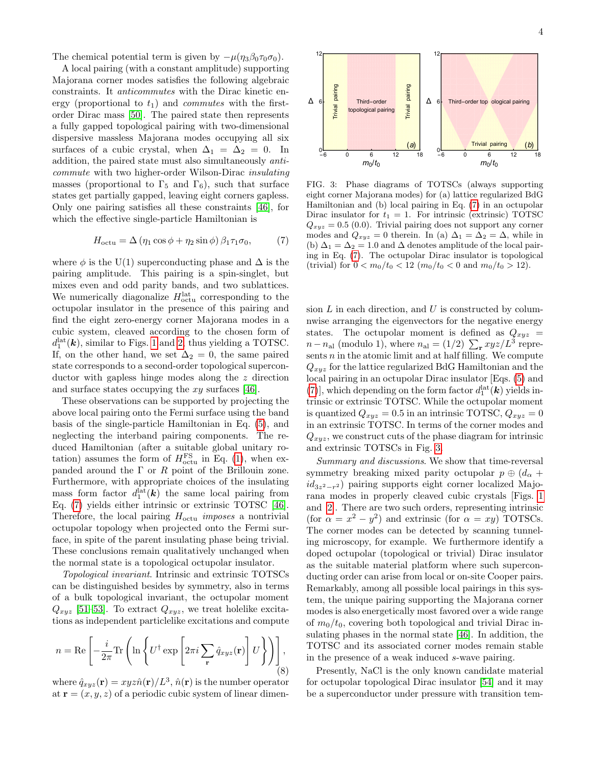The chemical potential term is given by  $-\mu(\eta_3\beta_0\tau_0\sigma_0)$ .

A local pairing (with a constant amplitude) supporting Majorana corner modes satisfies the following algebraic constraints. It anticommutes with the Dirac kinetic energy (proportional to  $t_1$ ) and *commutes* with the firstorder Dirac mass [\[50\]](#page-5-2). The paired state then represents a fully gapped topological pairing with two-dimensional dispersive massless Majorana modes occupying all six surfaces of a cubic crystal, when  $\Delta_1 = \Delta_2 = 0$ . In addition, the paired state must also simultaneously anticommute with two higher-order Wilson-Dirac insulating masses (proportional to  $\Gamma_5$  and  $\Gamma_6$ ), such that surface states get partially gapped, leaving eight corners gapless. Only one pairing satisfies all these constraints [\[46\]](#page-4-11), for which the effective single-particle Hamiltonian is

<span id="page-3-1"></span>
$$
H_{\text{octu}} = \Delta \left( \eta_1 \cos \phi + \eta_2 \sin \phi \right) \beta_1 \tau_1 \sigma_0, \tag{7}
$$

where  $\phi$  is the U(1) superconducting phase and  $\Delta$  is the pairing amplitude. This pairing is a spin-singlet, but mixes even and odd parity bands, and two sublattices. We numerically diagonalize  $H_{\text{octu}}^{\text{lat}}$  corresponding to the octupolar insulator in the presence of this pairing and find the eight zero-energy corner Majorana modes in a cubic system, cleaved according to the chosen form of  $d_1^{\text{lat}}(\mathbf{k})$ , similar to Figs. [1](#page-1-0) and [2,](#page-2-0) thus yielding a TOTSC. If, on the other hand, we set  $\Delta_2 = 0$ , the same paired state corresponds to a second-order topological superconductor with gapless hinge modes along the z direction and surface states occupying the  $xy$  surfaces [\[46\]](#page-4-11).

These observations can be supported by projecting the above local pairing onto the Fermi surface using the band basis of the single-particle Hamiltonian in Eq. [\(5\)](#page-2-1), and neglecting the interband pairing components. The reduced Hamiltonian (after a suitable global unitary rotation) assumes the form of  $H_{\text{octu}}^{\text{FS}}$  in Eq. [\(1\)](#page-0-0), when expanded around the  $\Gamma$  or  $R$  point of the Brillouin zone. Furthermore, with appropriate choices of the insulating mass form factor  $d_1^{\text{lat}}(\mathbf{k})$  the same local pairing from Eq. [\(7\)](#page-3-1) yields either intrinsic or extrinsic TOTSC [\[46\]](#page-4-11). Therefore, the local pairing  $H_{\text{octu}}$  imposes a nontrivial octupolar topology when projected onto the Fermi surface, in spite of the parent insulating phase being trivial. These conclusions remain qualitatively unchanged when the normal state is a topological octupolar insulator.

Topological invariant. Intrinsic and extrinsic TOTSCs can be distinguished besides by symmetry, also in terms of a bulk topological invariant, the octupolar moment  $Q_{xyz}$  [\[51–](#page-5-3)[53\]](#page-5-4). To extract  $Q_{xyz}$ , we treat holelike excitations as independent particlelike excitations and compute

$$
n = \text{Re}\left[-\frac{i}{2\pi}\text{Tr}\left(\ln\left\{U^{\dagger}\exp\left[2\pi i\sum_{\mathbf{r}}\hat{q}_{xyz}(\mathbf{r})\right]U\right\}\right)\right],\tag{8}
$$

where  $\hat{q}_{xyz}(\mathbf{r}) = xyz\hat{n}(\mathbf{r})/L^3$ ,  $\hat{n}(\mathbf{r})$  is the number operator at  $\mathbf{r} = (x, y, z)$  of a periodic cubic system of linear dimen-



<span id="page-3-0"></span>FIG. 3: Phase diagrams of TOTSCs (always supporting eight corner Majorana modes) for (a) lattice regularized BdG Hamiltonian and (b) local pairing in Eq. [\(7\)](#page-3-1) in an octupolar Dirac insulator for  $t_1 = 1$ . For intrinsic (extrinsic) TOTSC  $Q_{xyz} = 0.5$  (0.0). Trivial pairing does not support any corner modes and  $Q_{xyz} = 0$  therein. In (a)  $\Delta_1 = \Delta_2 = \Delta$ , while in (b)  $\Delta_1 = \Delta_2 = 1.0$  and  $\Delta$  denotes amplitude of the local pairing in Eq. [\(7\)](#page-3-1). The octupolar Dirac insulator is topological (trivial) for  $0 < m_0/t_0 < 12$  ( $m_0/t_0 < 0$  and  $m_0/t_0 > 12$ ).

sion  $L$  in each direction, and  $U$  is constructed by columnwise arranging the eigenvectors for the negative energy states. The octupolar moment is defined as  $Q_{xyz}$  =  $n-n_{\rm al}$  (modulo 1), where  $n_{\rm al} = (1/2) \sum_{\bf r} xyz/L^3$  represents  $n$  in the atomic limit and at half filling. We compute  $Q_{xyz}$  for the lattice regularized BdG Hamiltonian and the local pairing in an octupolar Dirac insulator [Eqs. [\(5\)](#page-2-1) and [\(7\)](#page-3-1)], which depending on the form factor  $d_1^{\text{lat}}(\mathbf{k})$  yields intrinsic or extrinsic TOTSC. While the octupolar moment is quantized  $Q_{xyz} = 0.5$  in an intrinsic TOTSC,  $Q_{xyz} = 0$ in an extrinsic TOTSC. In terms of the corner modes and  $Q_{xyz}$ , we construct cuts of the phase diagram for intrinsic and extrinsic TOTSCs in Fig. [3.](#page-3-0)

Summary and discussions. We show that time-reversal symmetry breaking mixed parity octupolar  $p \oplus (d_{\alpha} +$  $id_{3z^2-r^2}$ ) pairing supports eight corner localized Majorana modes in properly cleaved cubic crystals [Figs. [1](#page-1-0) and [2\]](#page-2-0). There are two such orders, representing intrinsic (for  $\alpha = x^2 - y^2$ ) and extrinsic (for  $\alpha = xy$ ) TOTSCs. The corner modes can be detected by scanning tunneling microscopy, for example. We furthermore identify a doped octupolar (topological or trivial) Dirac insulator as the suitable material platform where such superconducting order can arise from local or on-site Cooper pairs. Remarkably, among all possible local pairings in this system, the unique pairing supporting the Majorana corner modes is also energetically most favored over a wide range of  $m_0/t_0$ , covering both topological and trivial Dirac insulating phases in the normal state [\[46\]](#page-4-11). In addition, the TOTSC and its associated corner modes remain stable in the presence of a weak induced s-wave pairing.

Presently, NaCl is the only known candidate material for octupolar topological Dirac insulator [\[54\]](#page-5-5) and it may be a superconductor under pressure with transition tem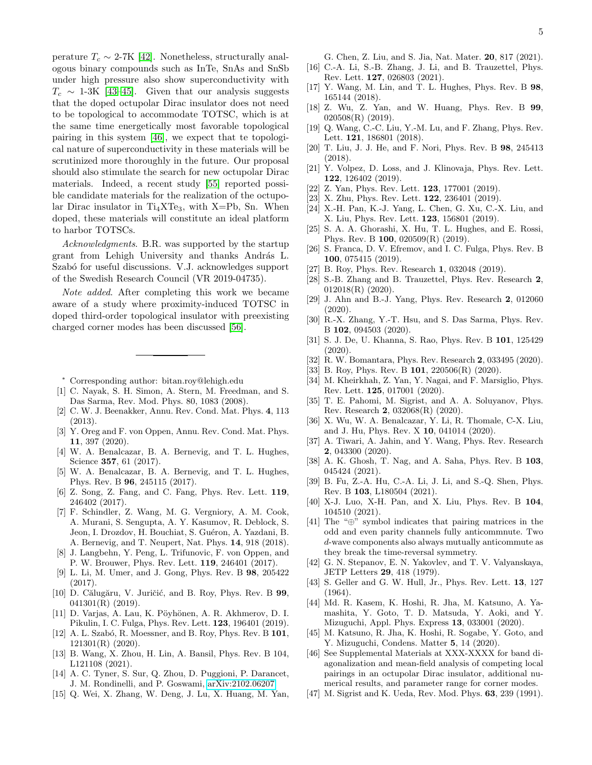perature  $T_c \sim 2\text{-}7K$  [\[42\]](#page-4-9). Nonetheless, structurally analogous binary compounds such as InTe, SnAs and SnSb under high pressure also show superconductivity with  $T_c \sim 1\text{-}3K$  [\[43](#page-4-13)[–45\]](#page-4-10). Given that our analysis suggests that the doped octupolar Dirac insulator does not need to be topological to accommodate TOTSC, which is at the same time energetically most favorable topological pairing in this system [\[46\]](#page-4-11), we expect that te topological nature of superconductivity in these materials will be scrutinized more thoroughly in the future. Our proposal should also stimulate the search for new octupolar Dirac materials. Indeed, a recent study [\[55\]](#page-5-6) reported possible candidate materials for the realization of the octupolar Dirac insulator in  $Ti<sub>4</sub>XTe<sub>3</sub>$ , with X=Pb, Sn. When doped, these materials will constitute an ideal platform to harbor TOTSCs.

Acknowledgments. B.R. was supported by the startup grant from Lehigh University and thanks András L. Szabó for useful discussions. V.J. acknowledges support of the Swedish Research Council (VR 2019-04735).

Note added. After completing this work we became aware of a study where proximity-induced TOTSC in doped third-order topological insulator with preexisting charged corner modes has been discussed [\[56\]](#page-5-7).

<span id="page-4-0"></span><sup>∗</sup> Corresponding author: bitan.roy@lehigh.edu

- <span id="page-4-1"></span>[1] C. Nayak, S. H. Simon, A. Stern, M. Freedman, and S. Das Sarma, Rev. Mod. Phys. 80, 1083 (2008).
- [2] C. W. J. Beenakker, Annu. Rev. Cond. Mat. Phys. 4, 113 (2013).
- <span id="page-4-2"></span>[3] Y. Oreg and F. von Oppen, Annu. Rev. Cond. Mat. Phys. 11, 397 (2020).
- <span id="page-4-3"></span>[4] W. A. Benalcazar, B. A. Bernevig, and T. L. Hughes, Science 357, 61 (2017).
- [5] W. A. Benalcazar, B. A. Bernevig, and T. L. Hughes, Phys. Rev. B 96, 245115 (2017).
- [6] Z. Song, Z. Fang, and C. Fang, Phys. Rev. Lett. 119, 246402 (2017).
- [7] F. Schindler, Z. Wang, M. G. Vergniory, A. M. Cook, A. Murani, S. Sengupta, A. Y. Kasumov, R. Deblock, S. Jeon, I. Drozdov, H. Bouchiat, S. Guéron, A. Yazdani, B. A. Bernevig, and T. Neupert, Nat. Phys. 14, 918 (2018).
- [8] J. Langbehn, Y. Peng, L. Trifunovic, F. von Oppen, and P. W. Brouwer, Phys. Rev. Lett. 119, 246401 (2017).
- [9] L. Li, M. Umer, and J. Gong, Phys. Rev. B 98, 205422 (2017).
- [10] D. Călugăru, V. Juričić, and B. Roy, Phys. Rev. B 99, 041301(R) (2019).
- [11] D. Varjas, A. Lau, K. Pöyhönen, A. R. Akhmerov, D. I. Pikulin, I. C. Fulga, Phys. Rev. Lett. 123, 196401 (2019).
- [12] A. L. Szabó, R. Moessner, and B. Roy, Phys. Rev. B 101, 121301(R) (2020).
- [13] B. Wang, X. Zhou, H. Lin, A. Bansil, Phys. Rev. B 104, L121108 (2021).
- [14] A. C. Tyner, S. Sur, Q. Zhou, D. Puggioni, P. Darancet, J. M. Rondinelli, and P. Goswami, [arXiv:2102.06207](http://arxiv.org/abs/2102.06207)
- [15] Q. Wei, X. Zhang, W. Deng, J. Lu, X. Huang, M. Yan,

G. Chen, Z. Liu, and S. Jia, Nat. Mater. 20, 817 (2021).

- <span id="page-4-4"></span>[16] C.-A. Li, S.-B. Zhang, J. Li, and B. Trauzettel, Phys. Rev. Lett. 127, 026803 (2021).
- <span id="page-4-5"></span>[17] Y. Wang, M. Lin, and T. L. Hughes, Phys. Rev. B 98, 165144 (2018).
- [18] Z. Wu, Z. Yan, and W. Huang, Phys. Rev. B 99, 020508(R) (2019).
- [19] Q. Wang, C.-C. Liu, Y.-M. Lu, and F. Zhang, Phys. Rev. Lett. 121, 186801 (2018).
- [20] T. Liu, J. J. He, and F. Nori, Phys. Rev. B 98, 245413  $(2018)$
- [21] Y. Volpez, D. Loss, and J. Klinovaja, Phys. Rev. Lett. 122, 126402 (2019).
- [22] Z. Yan, Phys. Rev. Lett. **123**, 177001 (2019).
- [23] X. Zhu, Phys. Rev. Lett. **122**, 236401 (2019).
- [24] X.-H. Pan, K.-J. Yang, L. Chen, G. Xu, C.-X. Liu, and X. Liu, Phys. Rev. Lett. 123, 156801 (2019).
- [25] S. A. A. Ghorashi, X. Hu, T. L. Hughes, and E. Rossi, Phys. Rev. B 100, 020509(R) (2019).
- [26] S. Franca, D. V. Efremov, and I. C. Fulga, Phys. Rev. B 100, 075415 (2019).
- [27] B. Roy, Phys. Rev. Research 1, 032048 (2019).
- [28] S.-B. Zhang and B. Trauzettel, Phys. Rev. Research 2, 012018(R) (2020).
- [29] J. Ahn and B.-J. Yang, Phys. Rev. Research 2, 012060 (2020).
- [30] R.-X. Zhang, Y.-T. Hsu, and S. Das Sarma, Phys. Rev. B 102, 094503 (2020).
- [31] S. J. De, U. Khanna, S. Rao, Phys. Rev. B 101, 125429 (2020).
- [32] R. W. Bomantara, Phys. Rev. Research 2, 033495 (2020).
- <span id="page-4-7"></span>[33] B. Roy, Phys. Rev. B **101**, 220506(R) (2020).
- [34] M. Kheirkhah, Z. Yan, Y. Nagai, and F. Marsiglio, Phys. Rev. Lett. 125, 017001 (2020).
- [35] T. E. Pahomi, M. Sigrist, and A. A. Soluyanov, Phys. Rev. Research 2, 032068(R) (2020).
- [36] X. Wu, W. A. Benalcazar, Y. Li, R. Thomale, C-X. Liu, and J. Hu, Phys. Rev. X 10, 041014 (2020).
- [37] A. Tiwari, A. Jahin, and Y. Wang, Phys. Rev. Research 2, 043300 (2020).
- [38] A. K. Ghosh, T. Nag, and A. Saha, Phys. Rev. B 103, 045424 (2021).
- [39] B. Fu, Z.-A. Hu, C.-A. Li, J. Li, and S.-Q. Shen, Phys. Rev. B 103, L180504 (2021).
- <span id="page-4-6"></span>[40] X-J. Luo, X-H. Pan, and X. Liu, Phys. Rev. B 104, 104510 (2021).
- <span id="page-4-8"></span>[41] The "⊕" symbol indicates that pairing matrices in the odd and even parity channels fully anticommnute. Two d-wave components also always mutually anticommute as they break the time-reversal symmetry.
- <span id="page-4-9"></span>[42] G. N. Stepanov, E. N. Yakovlev, and T. V. Valyanskaya, JETP Letters 29, 418 (1979).
- <span id="page-4-13"></span>[43] S. Geller and G. W. Hull, Jr., Phys. Rev. Lett. **13**, 127 (1964).
- [44] Md. R. Kasem, K. Hoshi, R. Jha, M. Katsuno, A. Yamashita, Y. Goto, T. D. Matsuda, Y. Aoki, and Y. Mizuguchi, Appl. Phys. Express 13, 033001 (2020).
- <span id="page-4-10"></span>[45] M. Katsuno, R. Jha, K. Hoshi, R. Sogabe, Y. Goto, and Y. Mizuguchi, Condens. Matter 5, 14 (2020).
- <span id="page-4-11"></span>[46] See Supplemental Materials at XXX-XXXX for band diagonalization and mean-field analysis of competing local pairings in an octupolar Dirac insulator, additional numerical results, and parameter range for corner modes.
- <span id="page-4-12"></span>[47] M. Sigrist and K. Ueda, Rev. Mod. Phys. **63**, 239 (1991).